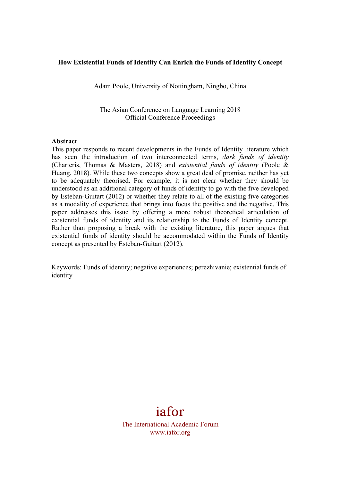#### **How Existential Funds of Identity Can Enrich the Funds of Identity Concept**

Adam Poole, University of Nottingham, Ningbo, China

The Asian Conference on Language Learning 2018 Official Conference Proceedings

#### **Abstract**

This paper responds to recent developments in the Funds of Identity literature which has seen the introduction of two interconnected terms, *dark funds of identity* (Charteris, Thomas & Masters, 2018) and *existential funds of identity* (Poole & Huang, 2018). While these two concepts show a great deal of promise, neither has yet to be adequately theorised. For example, it is not clear whether they should be understood as an additional category of funds of identity to go with the five developed by Esteban-Guitart (2012) or whether they relate to all of the existing five categories as a modality of experience that brings into focus the positive and the negative. This paper addresses this issue by offering a more robust theoretical articulation of existential funds of identity and its relationship to the Funds of Identity concept. Rather than proposing a break with the existing literature, this paper argues that existential funds of identity should be accommodated within the Funds of Identity concept as presented by Esteban-Guitart (2012).

Keywords: Funds of identity; negative experiences; perezhivanie; existential funds of identity

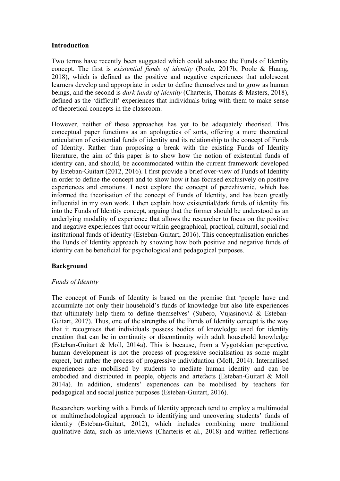#### **Introduction**

Two terms have recently been suggested which could advance the Funds of Identity concept. The first is *existential funds of identity* (Poole, 2017b; Poole & Huang, 2018), which is defined as the positive and negative experiences that adolescent learners develop and appropriate in order to define themselves and to grow as human beings, and the second is *dark funds of identity* (Charteris, Thomas & Masters, 2018), defined as the 'difficult' experiences that individuals bring with them to make sense of theoretical concepts in the classroom.

However, neither of these approaches has yet to be adequately theorised. This conceptual paper functions as an apologetics of sorts, offering a more theoretical articulation of existential funds of identity and its relationship to the concept of Funds of Identity. Rather than proposing a break with the existing Funds of Identity literature, the aim of this paper is to show how the notion of existential funds of identity can, and should, be accommodated within the current framework developed by Esteban-Guitart (2012, 2016). I first provide a brief over-view of Funds of Identity in order to define the concept and to show how it has focused exclusively on positive experiences and emotions. I next explore the concept of perezhivanie, which has informed the theorisation of the concept of Funds of Identity, and has been greatly influential in my own work. I then explain how existential/dark funds of identity fits into the Funds of Identity concept, arguing that the former should be understood as an underlying modality of experience that allows the researcher to focus on the positive and negative experiences that occur within geographical, practical, cultural, social and institutional funds of identity (Esteban-Guitart, 2016). This conceptualisation enriches the Funds of Identity approach by showing how both positive and negative funds of identity can be beneficial for psychological and pedagogical purposes.

# **Background**

# *Funds of Identity*

The concept of Funds of Identity is based on the premise that 'people have and accumulate not only their household's funds of knowledge but also life experiences that ultimately help them to define themselves' (Subero, Vujasinović & Esteban-Guitart, 2017). Thus, one of the strengths of the Funds of Identity concept is the way that it recognises that individuals possess bodies of knowledge used for identity creation that can be in continuity or discontinuity with adult household knowledge (Esteban-Guitart & Moll, 2014a). This is because, from a Vygotskian perspective, human development is not the process of progressive socialisation as some might expect, but rather the process of progressive individuation (Moll, 2014). Internalised experiences are mobilised by students to mediate human identity and can be embodied and distributed in people, objects and artefacts (Esteban-Guitart & Moll 2014a). In addition, students' experiences can be mobilised by teachers for pedagogical and social justice purposes (Esteban-Guitart, 2016).

Researchers working with a Funds of Identity approach tend to employ a multimodal or multimethodological approach to identifying and uncovering students' funds of identity (Esteban-Guitart, 2012), which includes combining more traditional qualitative data, such as interviews (Charteris et al., 2018) and written reflections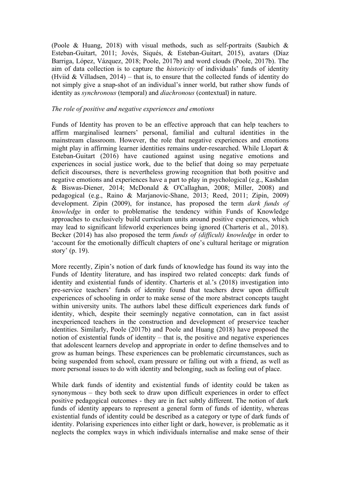(Poole & Huang, 2018) with visual methods, such as self-portraits (Saubich & Esteban-Guitart, 2011; Jovés, Siqués, & Esteban-Guitart, 2015), avatars (Díaz Barriga, López, Vázquez, 2018; Poole, 2017b) and word clouds (Poole, 2017b). The aim of data collection is to capture the *historicity* of individuals' funds of identity (Hviid & Villadsen,  $2014$ ) – that is, to ensure that the collected funds of identity do not simply give a snap-shot of an individual's inner world, but rather show funds of identity as *synchronous* (temporal) and *diachronous* (contextual) in nature.

# *The role of positive and negative experiences and emotions*

Funds of Identity has proven to be an effective approach that can help teachers to affirm marginalised learners' personal, familial and cultural identities in the mainstream classroom. However, the role that negative experiences and emotions might play in affirming learner identities remains under-researched. While Llopart  $\&$ Esteban-Guitart (2016) have cautioned against using negative emotions and experiences in social justice work, due to the belief that doing so may perpetuate deficit discourses, there is nevertheless growing recognition that both positive and negative emotions and experiences have a part to play in psychological (e.g., Kashdan & Biswas-Diener, 2014; McDonald & O'Callaghan, 2008; Miller, 2008) and pedagogical (e.g., Raino & Marjanovic-Shane, 2013; Reed, 2011; Zipin, 2009) development. Zipin (2009), for instance, has proposed the term *dark funds of knowledge* in order to problematise the tendency within Funds of Knowledge approaches to exclusively build curriculum units around positive experiences, which may lead to significant lifeworld experiences being ignored (Charteris et al., 2018). Becker (2014) has also proposed the term *funds of (difficult) knowledge* in order to 'account for the emotionally difficult chapters of one's cultural heritage or migration story' (p. 19).

More recently, Zipin's notion of dark funds of knowledge has found its way into the Funds of Identity literature, and has inspired two related concepts: dark funds of identity and existential funds of identity. Charteris et al.'s (2018) investigation into pre-service teachers' funds of identity found that teachers drew upon difficult experiences of schooling in order to make sense of the more abstract concepts taught within university units. The authors label these difficult experiences dark funds of identity, which, despite their seemingly negative connotation, can in fact assist inexperienced teachers in the construction and development of preservice teacher identities. Similarly, Poole (2017b) and Poole and Huang (2018) have proposed the notion of existential funds of identity – that is, the positive and negative experiences that adolescent learners develop and appropriate in order to define themselves and to grow as human beings. These experiences can be problematic circumstances, such as being suspended from school, exam pressure or falling out with a friend, as well as more personal issues to do with identity and belonging, such as feeling out of place.

While dark funds of identity and existential funds of identity could be taken as synonymous – they both seek to draw upon difficult experiences in order to effect positive pedagogical outcomes - they are in fact subtly different. The notion of dark funds of identity appears to represent a general form of funds of identity, whereas existential funds of identity could be described as a category or type of dark funds of identity. Polarising experiences into either light or dark, however, is problematic as it neglects the complex ways in which individuals internalise and make sense of their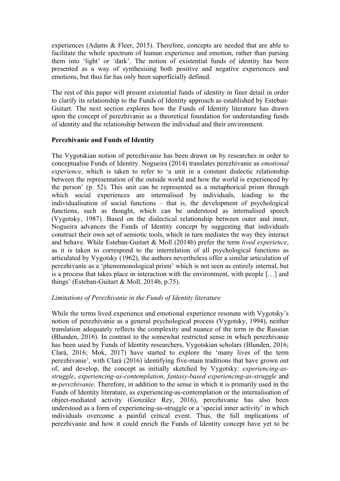experiences (Adams & Fleer, 2015). Therefore, concepts are needed that are able to facilitate the whole spectrum of human experience and emotion, rather than parsing them into 'light' or 'dark'. The notion of existential funds of identity has been presented as a way of synthesising both positive and negative experiences and emotions, but thus far has only been superficially defined.

The rest of this paper will present existential funds of identity in finer detail in order to clarify its relationship to the Funds of Identity approach as established by Esteban-Guitart. The next section explores how the Funds of Identity literature has drawn upon the concept of perezhivanie as a theoretical foundation for understanding funds of identity and the relationship between the individual and their environment.

# **Perezhivanie and Funds of Identity**

The Vygotskian notion of perezhivanie has been drawn on by researches in order to conceptualise Funds of Identity. Nogueira (2014) translates perezhivanie as *emotional experience*, which is taken to refer to 'a unit in a constant dialectic relationship between the representation of the outside world and how the world is experienced by the person' (p. 52). This unit can be represented as a metaphorical prism through which social experiences are internalised by individuals, leading to the individualisation of social functions – that is, the development of psychological functions, such as thought, which can be understood as internalised speech (Vygotsky, 1987). Based on the dialectical relationship between outer and inner, Nogueira advances the Funds of Identity concept by suggesting that individuals construct their own set of semiotic tools, which in turn mediates the way they interact and behave. While Esteban-Guitart & Moll (2014b) prefer the term *lived experience*, as it is taken to correspond to the interrelation of all psychological functions as articulated by Vygotsky (1962), the authors nevertheless offer a similar articulation of perezhivanie as a 'phenomonological prism' which is not seen as entirely internal, but is a process that takes place in interaction with the environment, with people […] and things' (Esteban-Guitart & Moll, 2014b, p.75).

# *Limitations of Perezhivanie in the Funds of Identity literature*

While the terms lived experience and emotional experience resonate with Vygotsky's notion of perezhivanie as a general psychological process (Vygotsky, 1994), neither translation adequately reflects the complexity and nuance of the term in the Russian (Blunden, 2016). In contrast to the somewhat restricted sense in which perezhivanie has been used by Funds of Identity researchers, Vygotskian scholars (Blunden, 2016; Clarà, 2016; Mok, 2017) have started to explore the 'many lives of the term perezhivanie', with Clarà (2016) identifying five-main traditions that have grown out of, and develop, the concept as initially sketched by Vygotsky: *experiencing-asstruggle*, *experiencing-as-contemplation*, *fantasy-based experiencing-as-struggle* and *m-perezhivanie*. Therefore, in addition to the sense in which it is primarily used in the Funds of Identity literature, as experiencing-as-contemplation or the internalisation of object-mediated activity (González Rey, 2016), perezhivanie has also been understood as a form of experiencing-as-struggle or a 'special inner activity' in which individuals overcome a painful critical event. Thus, the full implications of perezhivanie and how it could enrich the Funds of Identity concept have yet to be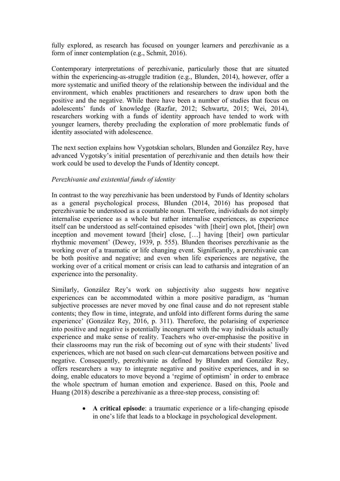fully explored, as research has focused on younger learners and perezhivanie as a form of inner contemplation (e.g., Schmit, 2016).

Contemporary interpretations of perezhivanie, particularly those that are situated within the experiencing-as-struggle tradition (e.g., Blunden, 2014), however, offer a more systematic and unified theory of the relationship between the individual and the environment, which enables practitioners and researchers to draw upon both the positive and the negative. While there have been a number of studies that focus on adolescents' funds of knowledge (Razfar, 2012; Schwartz, 2015; Wei, 2014), researchers working with a funds of identity approach have tended to work with younger learners, thereby precluding the exploration of more problematic funds of identity associated with adolescence.

The next section explains how Vygotskian scholars, Blunden and González Rey, have advanced Vygotsky's initial presentation of perezhivanie and then details how their work could be used to develop the Funds of Identity concept.

# *Perezhivanie and existential funds of identity*

In contrast to the way perezhivanie has been understood by Funds of Identity scholars as a general psychological process, Blunden (2014, 2016) has proposed that perezhivanie be understood as a countable noun. Therefore, individuals do not simply internalise experience as a whole but rather internalise experiences, as experience itself can be understood as self-contained episodes 'with [their] own plot, [their] own inception and movement toward [their] close, […] having [their] own particular rhythmic movement' (Dewey, 1939, p. 555). Blunden theorises perezhivanie as the working over of a traumatic or life changing event. Significantly, a perezhivanie can be both positive and negative; and even when life experiences are negative, the working over of a critical moment or crisis can lead to catharsis and integration of an experience into the personality.

Similarly, González Rey's work on subjectivity also suggests how negative experiences can be accommodated within a more positive paradigm, as 'human subjective processes are never moved by one final cause and do not represent stable contents; they flow in time, integrate, and unfold into different forms during the same experience' (González Rey, 2016, p. 311). Therefore, the polarising of experience into positive and negative is potentially incongruent with the way individuals actually experience and make sense of reality. Teachers who over-emphasise the positive in their classrooms may run the risk of becoming out of sync with their students' lived experiences, which are not based on such clear-cut demarcations between positive and negative. Consequently, perezhivanie as defined by Blunden and González Rey, offers researchers a way to integrate negative and positive experiences, and in so doing, enable educators to move beyond a 'regime of optimism' in order to embrace the whole spectrum of human emotion and experience. Based on this, Poole and Huang (2018) describe a perezhivanie as a three-step process, consisting of:

> • **A critical episode**: a traumatic experience or a life-changing episode in one's life that leads to a blockage in psychological development.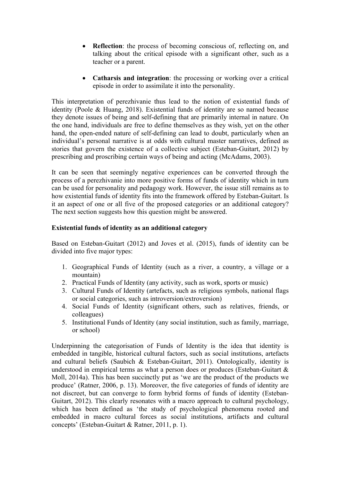- **Reflection**: the process of becoming conscious of, reflecting on, and talking about the critical episode with a significant other, such as a teacher or a parent.
- **Catharsis and integration**: the processing or working over a critical episode in order to assimilate it into the personality.

This interpretation of perezhivanie thus lead to the notion of existential funds of identity (Poole & Huang, 2018). Existential funds of identity are so named because they denote issues of being and self-defining that are primarily internal in nature. On the one hand, individuals are free to define themselves as they wish, yet on the other hand, the open-ended nature of self-defining can lead to doubt, particularly when an individual's personal narrative is at odds with cultural master narratives, defined as stories that govern the existence of a collective subject (Esteban-Guitart, 2012) by prescribing and proscribing certain ways of being and acting (McAdams, 2003).

It can be seen that seemingly negative experiences can be converted through the process of a perezhivanie into more positive forms of funds of identity which in turn can be used for personality and pedagogy work. However, the issue still remains as to how existential funds of identity fits into the framework offered by Esteban-Guitart. Is it an aspect of one or all five of the proposed categories or an additional category? The next section suggests how this question might be answered.

# **Existential funds of identity as an additional category**

Based on Esteban-Guitart (2012) and Joves et al. (2015), funds of identity can be divided into five major types:

- 1. Geographical Funds of Identity (such as a river, a country, a village or a mountain)
- 2. Practical Funds of Identity (any activity, such as work, sports or music)
- 3. Cultural Funds of Identity (artefacts, such as religious symbols, national flags or social categories, such as introversion/extroversion)
- 4. Social Funds of Identity (significant others, such as relatives, friends, or colleagues)
- 5. Institutional Funds of Identity (any social institution, such as family, marriage, or school)

Underpinning the categorisation of Funds of Identity is the idea that identity is embedded in tangible, historical cultural factors, such as social institutions, artefacts and cultural beliefs (Saubich & Esteban-Guitart, 2011). Ontologically, identity is understood in empirical terms as what a person does or produces (Esteban-Guitart & Moll, 2014a). This has been succinctly put as 'we are the product of the products we produce' (Ratner, 2006, p. 13). Moreover, the five categories of funds of identity are not discreet, but can converge to form hybrid forms of funds of identity (Esteban-Guitart, 2012). This clearly resonates with a macro approach to cultural psychology, which has been defined as 'the study of psychological phenomena rooted and embedded in macro cultural forces as social institutions, artifacts and cultural concepts' (Esteban-Guitart & Ratner, 2011, p. 1).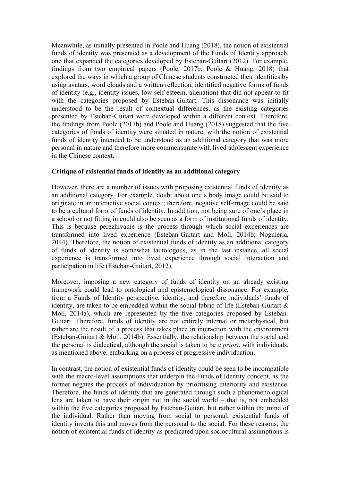Meanwhile, as initially presented in Poole and Huang (2018), the notion of existential funds of identity was presented as a development of the Funds of Identity approach, one that expanded the categories developed by Esteban-Guitart (2012). For example, findings from two empirical papers (Poole, 2017b; Poole & Huang, 2018) that explored the ways in which a group of Chinese students constructed their identities by using avatars, word clouds and a written reflection, identified negative forms of funds of identity (e.g., identity issues, low self-esteem, alienation) that did not appear to fit with the categories proposed by Esteban-Guitart. This dissonance was initially understood to be the result of contextual differences, as the existing categories presented by Esteban-Guitart were developed within a different context. Therefore, the findings from Poole (2017b) and Poole and Huang (2018) suggested that the five categories of funds of identity were situated in nature, with the notion of existential funds of identity intended to be understood as an additional category that was more personal in nature and therefore more commensurate with lived adolescent experience in the Chinese context.

# **Critique of existential funds of identity as an additional category**

However, there are a number of issues with proposing existential funds of identity as an additional category. For example, doubt about one's body image could be said to originate in an interactive social context; therefore, negative self-image could be said to be a cultural form of funds of identity. In addition, not being sure of one's place in a school or not fitting in could also be seen as a form of institutional funds of identity. This is because perezhivanie is the process through which social experiences are transformed into lived experience (Esteban-Guitart and Moll, 2014b; Noguieria, 2014). Therefore, the notion of existential funds of identity as an additional category of funds of identity is somewhat tautologous, as in the last instance, all social experience is transformed into lived experience through social interaction and participation in life (Esteban-Guitart, 2012).

Moreover, imposing a new category of funds of identity on an already existing framework could lead to ontological and epistemological dissonance. For example, from a Funds of Identity perspective, identity, and therefore individuals' funds of identity, are taken to be embedded within the social fabric of life (Esteban-Guitart  $\&$ Moll, 2014a), which are represented by the five categories proposed by Esteban-Guitart. Therefore, funds of identity are not entirely internal or metaphysical, but rather are the result of a process that takes place in interaction with the environment (Esteban-Guitart & Moll, 2014b). Essentially, the relationship between the social and the personal is dialectical, although the social is taken to be *a priori*, with individuals, as mentioned above, embarking on a process of progressive individuation.

In contrast, the notion of existential funds of identity could be seen to be incompatible with the macro-level assumptions that underpin the Funds of Identity concept, as the former negates the process of individuation by prioritising interiority and existence. Therefore, the funds of identity that are generated through such a phenomenological lens are taken to have their origin not in the social world – that is, not embedded within the five categories proposed by Esteban-Guitart, but rather within the mind of the individual. Rather than moving from social to personal, existential funds of identity inverts this and moves from the personal to the social. For these reasons, the notion of existential funds of identity as predicated upon sociocultural assumptions is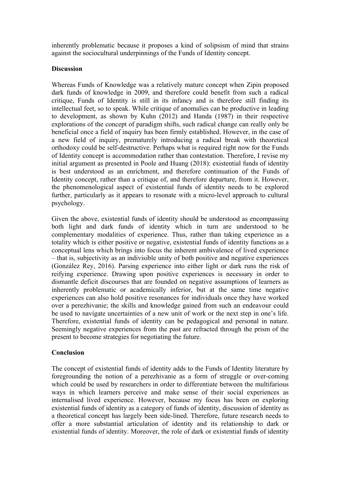inherently problematic because it proposes a kind of solipsism of mind that strains against the sociocultural underpinnings of the Funds of Identity concept.

# **Discussion**

Whereas Funds of Knowledge was a relatively mature concept when Zipin proposed dark funds of knowledge in 2009, and therefore could benefit from such a radical critique, Funds of Identity is still in its infancy and is therefore still finding its intellectual feet, so to speak. While critique of anomalies can be productive in leading to development, as shown by Kuhn (2012) and Handa (1987) in their respective explorations of the concept of paradigm shifts, such radical change can really only be beneficial once a field of inquiry has been firmly established. However, in the case of a new field of inquiry, prematurely introducing a radical break with theoretical orthodoxy could be self-destructive. Perhaps what is required right now for the Funds of Identity concept is accommodation rather than contestation. Therefore, I revise my initial argument as presented in Poole and Huang (2018): existential funds of identity is best understood as an enrichment, and therefore continuation of the Funds of Identity concept, rather than a critique of, and therefore departure, from it. However, the phenomenological aspect of existential funds of identity needs to be explored further, particularly as it appears to resonate with a micro-level approach to cultural psychology.

Given the above, existential funds of identity should be understood as encompassing both light and dark funds of identity which in turn are understood to be complementary modalities of experience. Thus, rather than taking experience as a totality which is either positive or negative, existential funds of identity functions as a conceptual lens which brings into focus the inherent ambivalence of lived experience – that is, subjectivity as an indivisible unity of both positive and negative experiences (González Rey, 2016). Parsing experience into either light or dark runs the risk of reifying experience. Drawing upon positive experiences is necessary in order to dismantle deficit discourses that are founded on negative assumptions of learners as inherently problematic or academically inferior, but at the same time negative experiences can also hold positive resonances for individuals once they have worked over a perezhivanie; the skills and knowledge gained from such an endeavour could be used to navigate uncertainties of a new unit of work or the next step in one's life. Therefore, existential funds of identity can be pedagogical and personal in nature. Seemingly negative experiences from the past are refracted through the prism of the present to become strategies for negotiating the future.

# **Conclusion**

The concept of existential funds of identity adds to the Funds of Identity literature by foregrounding the notion of a perezhivanie as a form of struggle or over-coming which could be used by researchers in order to differentiate between the multifarious ways in which learners perceive and make sense of their social experiences as internalised lived experience. However, because my focus has been on exploring existential funds of identity as a category of funds of identity, discussion of identity as a theoretical concept has largely been side-lined. Therefore, future research needs to offer a more substantial articulation of identity and its relationship to dark or existential funds of identity. Moreover, the role of dark or existential funds of identity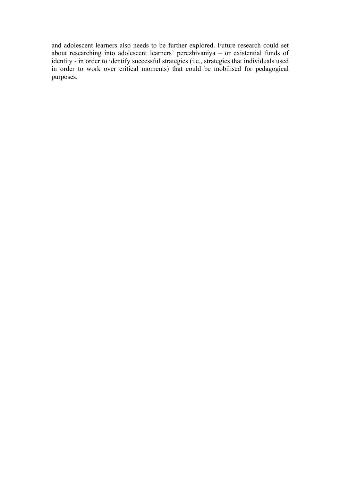and adolescent learners also needs to be further explored. Future research could set about researching into adolescent learners' perezhivaniya – or existential funds of identity - in order to identify successful strategies (i.e., strategies that individuals used in order to work over critical moments) that could be mobilised for pedagogical purposes.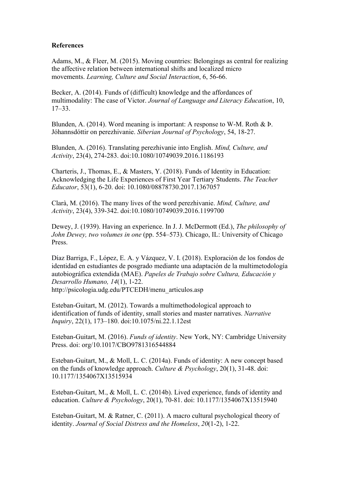#### **References**

Adams, M., & Fleer, M. (2015). Moving countries: Belongings as central for realizing the affective relation between international shifts and localized micro movements. *Learning, Culture and Social Interaction*, 6, 56-66.

Becker, A. (2014). Funds of (difficult) knowledge and the affordances of multimodality: The case of Victor. *Journal of Language and Literacy Education*, 10, 17–33.

Blunden, A. (2014). Word meaning is important: A response to W-M. Roth & Þ. Jóhannsdóttir on perezhivanie. *Siberian Journal of Psychology*, 54, 18-27.

Blunden, A. (2016). Translating perezhivanie into English. *Mind, Culture, and Activity*, 23(4), 274-283. doi:10.1080/10749039.2016.1186193

Charteris, J., Thomas, E., & Masters, Y. (2018). Funds of Identity in Education: Acknowledging the Life Experiences of First Year Tertiary Students. *The Teacher Educator*, 53(1), 6-20. doi: 10.1080/08878730.2017.1367057

Clarà, M. (2016). The many lives of the word perezhivanie. *Mind, Culture, and Activity*, 23(4), 339-342. doi:10.1080/10749039.2016.1199700

Dewey, J. (1939). Having an experience. In J. J. McDermott (Ed.), *The philosophy of John Dewey, two volumes in one* (pp. 554–573). Chicago, IL: University of Chicago Press.

Díaz Barriga, F., López, E. A. y Vázquez, V. I. (2018). Exploración de los fondos de identidad en estudiantes de posgrado mediante una adaptación de la multimetodología autobiográfica extendida (MAE). *Papeles de Trabajo sobre Cultura, Educación y Desarrollo Humano, 14*(1), 1-22. http://psicologia.udg.edu/PTCEDH/menu\_articulos.asp

Esteban-Guitart, M. (2012). Towards a multimethodological approach to identification of funds of identity, small stories and master narratives. *Narrative Inquiry*, 22(1), 173–180. doi:10.1075/ni.22.1.12est

Esteban-Guitart, M. (2016). *Funds of identity*. New York, NY: Cambridge University Press. doi: org/10.1017/CBO9781316544884

Esteban-Guitart, M., & Moll, L. C. (2014a). Funds of identity: A new concept based on the funds of knowledge approach. *Culture & Psychology*, 20(1), 31-48. doi: 10.1177/1354067X13515934

Esteban-Guitart, M., & Moll, L. C. (2014b). Lived experience, funds of identity and education. *Culture & Psychology*, 20(1), 70-81. doi: 10.1177/1354067X13515940

Esteban-Guitart, M. & Ratner, C. (2011). A macro cultural psychological theory of identity. *Journal of Social Distress and the Homeless*, *20*(1-2), 1-22.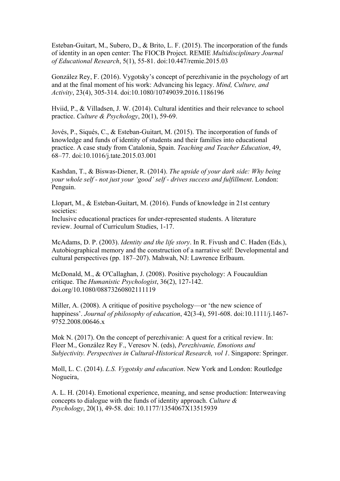Esteban-Guitart, M., Subero, D., & Brito, L. F. (2015). The incorporation of the funds of identity in an open center: The FIOCB Project. REMIE *Multidisciplinary Journal of Educational Research*, 5(1), 55-81. doi:10.447/remie.2015.03

González Rey, F. (2016). Vygotsky's concept of perezhivanie in the psychology of art and at the final moment of his work: Advancing his legacy. *Mind, Culture, and Activity*, 23(4), 305-314. doi:10.1080/10749039.2016.1186196

Hviid, P., & Villadsen, J. W. (2014). Cultural identities and their relevance to school practice. *Culture & Psychology*, 20(1), 59-69.

Jovés, P., Siqués, C., & Esteban-Guitart, M. (2015). The incorporation of funds of knowledge and funds of identity of students and their families into educational practice. A case study from Catalonia, Spain. *Teaching and Teacher Education*, 49, 68–77. doi:10.1016/j.tate.2015.03.001

Kashdan, T., & Biswas-Diener, R. (2014). *The upside of your dark side: Why being your whole self - not just your 'good' self - drives success and fulfillment*. London: Penguin.

Llopart, M., & Esteban-Guitart, M. (2016). Funds of knowledge in 21st century societies:

Inclusive educational practices for under-represented students. A literature review. Journal of Curriculum Studies, 1-17.

McAdams, D. P. (2003). *Identity and the life story*. In R. Fivush and C. Haden (Eds.), Autobiographical memory and the construction of a narrative self: Developmental and cultural perspectives (pp. 187–207). Mahwah, NJ: Lawrence Erlbaum.

McDonald, M., & O'Callaghan, J. (2008). Positive psychology: A Foucauldian critique. The *Humanistic Psychologist*, 36(2), 127-142. doi.org/10.1080/08873260802111119

Miller, A. (2008). A critique of positive psychology—or 'the new science of happiness'. *Journal of philosophy of education*, 42(3-4), 591-608. doi:10.1111/j.1467- 9752.2008.00646.x

Mok N. (2017). On the concept of perezhivanie: A quest for a critical review. In: Fleer M., González Rey F., Veresov N. (eds), *Perezhivanie, Emotions and Subjectivity. Perspectives in Cultural-Historical Research, vol 1*. Singapore: Springer.

Moll, L. C. (2014). *L.S. Vygotsky and education*. New York and London: Routledge Nogueira,

A. L. H. (2014). Emotional experience, meaning, and sense production: Interweaving concepts to dialogue with the funds of identity approach. *Culture & Psychology*, 20(1), 49-58. doi: 10.1177/1354067X13515939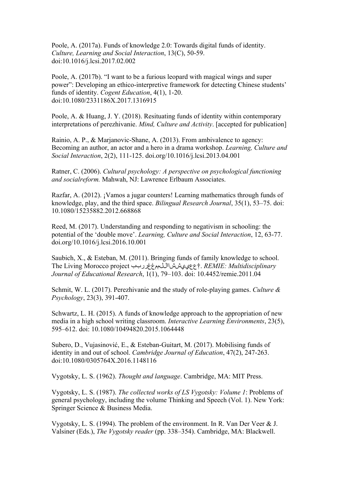Poole, A. (2017a). Funds of knowledge 2.0: Towards digital funds of identity. *Culture, Learning and Social Interaction*, 13(C), 50-59. doi:10.1016/j.lcsi.2017.02.002

Poole, A. (2017b). "I want to be a furious leopard with magical wings and super power": Developing an ethico-interpretive framework for detecting Chinese students' funds of identity. *Cogent Education*, 4(1), 1-20. doi:10.1080/2331186X.2017.1316915

Poole, A. & Huang, J. Y. (2018). Resituating funds of identity within contemporary interpretations of perezhivanie. *Mind, Culture and Activity*. [accepted for publication]

Rainio, A. P., & Marjanovic-Shane, A. (2013). From ambivalence to agency: Becoming an author, an actor and a hero in a drama workshop. *Learning, Culture and Social Interaction*, 2(2), 111-125. doi.org/10.1016/j.lcsi.2013.04.001

Ratner, C. (2006). *Cultural psychology: A perspective on psychological functioning and socialreform.* Mahwah, NJ: Lawrence Erlbaum Associates.

Razfar, A. (2012). ¡Vamos a jugar counters! Learning mathematics through funds of knowledge, play, and the third space. *Bilingual Research Journal*, 35(1), 53–75. doi: 10.1080/15235882.2012.668868

Reed, M. (2017). Understanding and responding to negativism in schooling: the potential of the 'double move'. *Learning, Culture and Social Interaction*, 12, 63-77. doi.org/10.1016/j.lcsi.2016.10.001

Saubich, X., & Esteban, M. (2011). Bringing funds of family knowledge to school. The Living Morocco project ععييششااللممغغرربب†. *REMIE: Multidisciplinary Journal of Educational Research*, 1(1), 79–103. doi: 10.4452/remie.2011.04

Schmit, W. L. (2017). Perezhivanie and the study of role-playing games. *Culture & Psychology*, 23(3), 391-407.

Schwartz, L. H. (2015). A funds of knowledge approach to the appropriation of new media in a high school writing classroom. *Interactive Learning Environments*, 23(5), 595–612. doi: 10.1080/10494820.2015.1064448

Subero, D., Vujasinović, E., & Esteban-Guitart, M. (2017). Mobilising funds of identity in and out of school. *Cambridge Journal of Education*, 47(2), 247-263. doi:10.1080/0305764X.2016.1148116

Vygotsky, L. S. (1962). *Thought and language*. Cambridge, MA: MIT Press.

Vygotsky, L. S. (1987). *The collected works of LS Vygotsky: Volume 1*: Problems of general psychology, including the volume Thinking and Speech (Vol. 1). New York: Springer Science & Business Media.

Vygotsky, L. S. (1994). The problem of the environment. In R. Van Der Veer & J. Valsiner (Eds.), *The Vygotsky reader* (pp. 338–354). Cambridge, MA: Blackwell.